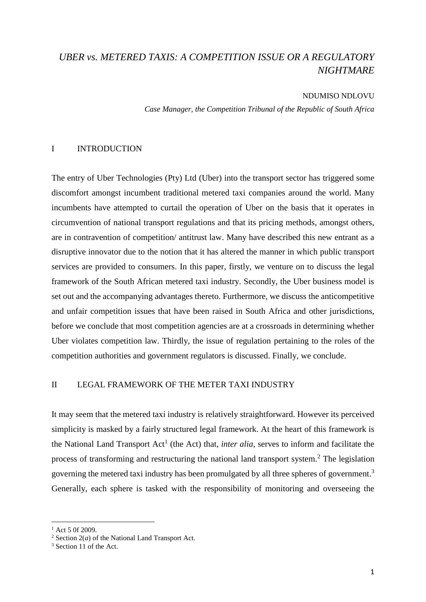# *UBER vs. METERED TAXIS: A COMPETITION ISSUE OR A REGULATORY NIGHTMARE*

#### NDUMISO NDLOVU

*Case Manager, the Competition Tribunal of the Republic of South Africa* 

## I INTRODUCTION

The entry of Uber Technologies (Pty) Ltd (Uber) into the transport sector has triggered some discomfort amongst incumbent traditional metered taxi companies around the world. Many incumbents have attempted to curtail the operation of Uber on the basis that it operates in circumvention of national transport regulations and that its pricing methods, amongst others, are in contravention of competition/ antitrust law. Many have described this new entrant as a disruptive innovator due to the notion that it has altered the manner in which public transport services are provided to consumers. In this paper, firstly, we venture on to discuss the legal framework of the South African metered taxi industry. Secondly, the Uber business model is set out and the accompanying advantages thereto. Furthermore, we discuss the anticompetitive and unfair competition issues that have been raised in South Africa and other jurisdictions, before we conclude that most competition agencies are at a crossroads in determining whether Uber violates competition law. Thirdly, the issue of regulation pertaining to the roles of the competition authorities and government regulators is discussed. Finally, we conclude.

## II LEGAL FRAMEWORK OF THE METER TAXI INDUSTRY

It may seem that the metered taxi industry is relatively straightforward. However its perceived simplicity is masked by a fairly structured legal framework. At the heart of this framework is the National Land Transport Act<sup>1</sup> (the Act) that, *inter alia*, serves to inform and facilitate the process of transforming and restructuring the national land transport system.<sup>2</sup> The legislation governing the metered taxi industry has been promulgated by all three spheres of government.<sup>3</sup> Generally, each sphere is tasked with the responsibility of monitoring and overseeing the

 $1$  Act 5 0f 2009.

<sup>2</sup> Section 2(*a*) of the National Land Transport Act.

<sup>&</sup>lt;sup>3</sup> Section 11 of the Act.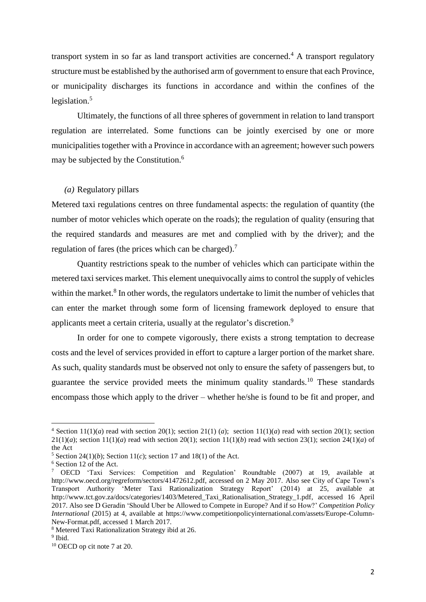transport system in so far as land transport activities are concerned.<sup>4</sup> A transport regulatory structure must be established by the authorised arm of government to ensure that each Province, or municipality discharges its functions in accordance and within the confines of the legislation. 5

Ultimately, the functions of all three spheres of government in relation to land transport regulation are interrelated. Some functions can be jointly exercised by one or more municipalities together with a Province in accordance with an agreement; however such powers may be subjected by the Constitution.<sup>6</sup>

## *(a)* Regulatory pillars

Metered taxi regulations centres on three fundamental aspects: the regulation of quantity (the number of motor vehicles which operate on the roads); the regulation of quality (ensuring that the required standards and measures are met and complied with by the driver); and the regulation of fares (the prices which can be charged).<sup>7</sup>

Quantity restrictions speak to the number of vehicles which can participate within the metered taxi services market. This element unequivocally aims to control the supply of vehicles within the market.<sup>8</sup> In other words, the regulators undertake to limit the number of vehicles that can enter the market through some form of licensing framework deployed to ensure that applicants meet a certain criteria, usually at the regulator's discretion.<sup>9</sup>

In order for one to compete vigorously, there exists a strong temptation to decrease costs and the level of services provided in effort to capture a larger portion of the market share. As such, quality standards must be observed not only to ensure the safety of passengers but, to guarantee the service provided meets the minimum quality standards.<sup>10</sup> These standards encompass those which apply to the driver – whether he/she is found to be fit and proper, and

<sup>&</sup>lt;sup>4</sup> Section  $11(1)(a)$  read with section  $20(1)$ ; section  $21(1)(a)$ ; section  $11(1)(a)$  read with section  $20(1)$ ; section  $21(1)(a)$ ; section  $11(1)(a)$  read with section  $20(1)$ ; section  $11(1)(b)$  read with section  $23(1)$ ; section  $24(1)(a)$  of the Act

<sup>&</sup>lt;sup>5</sup> Section 24(1)(*b*); Section 11(*c*); section 17 and 18(1) of the Act.

<sup>6</sup> Section 12 of the Act.

<sup>7</sup> OECD 'Taxi Services: Competition and Regulation' Roundtable (2007) at 19, available at http://www.oecd.org/regreform/sectors/41472612.pdf, accessed on 2 May 2017. Also see City of Cape Town's Transport Authority 'Meter Taxi Rationalization Strategy Report' (2014) at 25, available at http://www.tct.gov.za/docs/categories/1403/Metered Taxi Rationalisation Strategy 1.pdf, accessed 16 April 2017. Also see D Geradin 'Should Uber be Allowed to Compete in Europe? And if so How?' *Competition Policy International* (2015) at 4, available at [https://www.competitionpolicyinternational.com/assets/Europe-Column-](https://www.competitionpolicyinternational.com/assets/Europe-Column-New-Format.pdf)[New-Format.pdf,](https://www.competitionpolicyinternational.com/assets/Europe-Column-New-Format.pdf) accessed 1 March 2017.

<sup>8</sup> Metered Taxi Rationalization Strategy ibid at 26.

<sup>&</sup>lt;sup>9</sup> Ibid.

<sup>10</sup> OECD op cit note 7 at 20.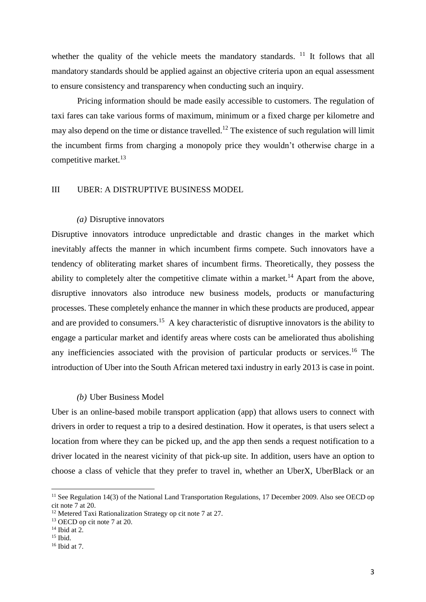whether the quality of the vehicle meets the mandatory standards.  $11$  It follows that all mandatory standards should be applied against an objective criteria upon an equal assessment to ensure consistency and transparency when conducting such an inquiry.

Pricing information should be made easily accessible to customers. The regulation of taxi fares can take various forms of maximum, minimum or a fixed charge per kilometre and may also depend on the time or distance travelled.<sup>12</sup> The existence of such regulation will limit the incumbent firms from charging a monopoly price they wouldn't otherwise charge in a competitive market.<sup>13</sup>

#### III UBER: A DISTRUPTIVE BUSINESS MODEL

#### *(a)* Disruptive innovators

Disruptive innovators introduce unpredictable and drastic changes in the market which inevitably affects the manner in which incumbent firms compete. Such innovators have a tendency of obliterating market shares of incumbent firms. Theoretically, they possess the ability to completely alter the competitive climate within a market.<sup>14</sup> Apart from the above, disruptive innovators also introduce new business models, products or manufacturing processes. These completely enhance the manner in which these products are produced, appear and are provided to consumers.<sup>15</sup> A key characteristic of disruptive innovators is the ability to engage a particular market and identify areas where costs can be ameliorated thus abolishing any inefficiencies associated with the provision of particular products or services. <sup>16</sup> The introduction of Uber into the South African metered taxi industry in early 2013 is case in point.

#### *(b)* Uber Business Model

Uber is an online-based mobile transport application (app) that allows users to connect with drivers in order to request a trip to a desired destination. How it operates, is that users select a location from where they can be picked up, and the app then sends a request notification to a driver located in the nearest vicinity of that pick-up site. In addition, users have an option to choose a class of vehicle that they prefer to travel in, whether an UberX, UberBlack or an

<sup>&</sup>lt;sup>11</sup> See Regulation 14(3) of the National Land Transportation Regulations, 17 December 2009. Also see OECD op cit note 7 at 20.

<sup>&</sup>lt;sup>12</sup> Metered Taxi Rationalization Strategy op cit note 7 at 27.

 $13$  OECD op cit note 7 at 20.

 $14$  Ibid at 2.

 $15$  Ibid.

 $16$  Ibid at 7.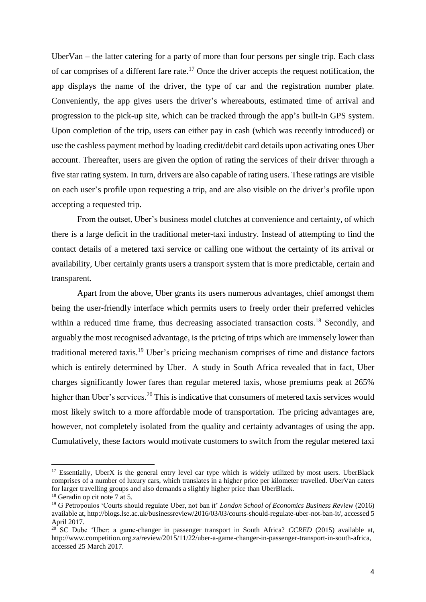UberVan – the latter catering for a party of more than four persons per single trip. Each class of car comprises of a different fare rate.<sup>17</sup> Once the driver accepts the request notification, the app displays the name of the driver, the type of car and the registration number plate. Conveniently, the app gives users the driver's whereabouts, estimated time of arrival and progression to the pick-up site, which can be tracked through the app's built-in GPS system. Upon completion of the trip, users can either pay in cash (which was recently introduced) or use the cashless payment method by loading credit/debit card details upon activating ones Uber account. Thereafter, users are given the option of rating the services of their driver through a five star rating system. In turn, drivers are also capable of rating users. These ratings are visible on each user's profile upon requesting a trip, and are also visible on the driver's profile upon accepting a requested trip.

From the outset, Uber's business model clutches at convenience and certainty, of which there is a large deficit in the traditional meter-taxi industry. Instead of attempting to find the contact details of a metered taxi service or calling one without the certainty of its arrival or availability, Uber certainly grants users a transport system that is more predictable, certain and transparent.

Apart from the above, Uber grants its users numerous advantages, chief amongst them being the user-friendly interface which permits users to freely order their preferred vehicles within a reduced time frame, thus decreasing associated transaction costs.<sup>18</sup> Secondly, and arguably the most recognised advantage, is the pricing of trips which are immensely lower than traditional metered taxis.<sup>19</sup> Uber's pricing mechanism comprises of time and distance factors which is entirely determined by Uber. A study in South Africa revealed that in fact, Uber charges significantly lower fares than regular metered taxis, whose premiums peak at 265% higher than Uber's services.<sup>20</sup> This is indicative that consumers of metered taxis services would most likely switch to a more affordable mode of transportation. The pricing advantages are, however, not completely isolated from the quality and certainty advantages of using the app. Cumulatively, these factors would motivate customers to switch from the regular metered taxi

<sup>&</sup>lt;sup>17</sup> Essentially, UberX is the general entry level car type which is widely utilized by most users. UberBlack comprises of a number of luxury cars, which translates in a higher price per kilometer travelled. UberVan caters for larger travelling groups and also demands a slightly higher price than UberBlack.

<sup>18</sup> Geradin op cit note 7 at 5.

<sup>19</sup> G Petropoulos 'Courts should regulate Uber, not ban it' *London School of Economics Business Review* (2016) available at, [http://blogs.lse.ac.uk/businessreview/2016/03/03/courts-should-regulate-uber-not-ban-it/,](http://blogs.lse.ac.uk/businessreview/2016/03/03/courts-should-regulate-uber-not-ban-it/) accessed 5 April 2017.

<sup>&</sup>lt;sup>20</sup> SC Dube 'Uber: a game-changer in passenger transport in South Africa? *CCRED* (2015) available at, [http://www.competition.org.za/review/2015/11/22/uber-a-game-changer-in-passenger-transport-in-south-africa,](http://www.competition.org.za/review/2015/11/22/uber-a-game-changer-in-passenger-transport-in-south-africa) accessed 25 March 2017.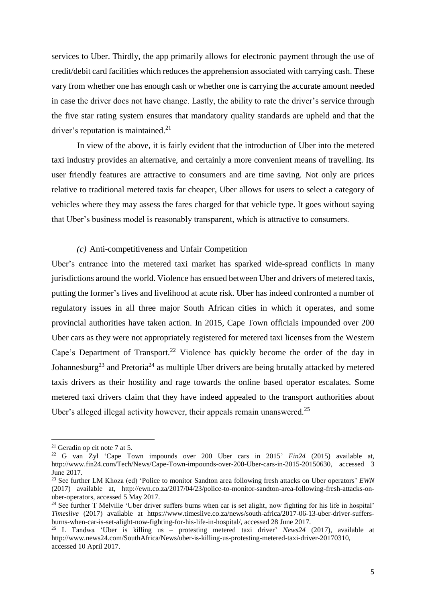services to Uber. Thirdly, the app primarily allows for electronic payment through the use of credit/debit card facilities which reduces the apprehension associated with carrying cash. These vary from whether one has enough cash or whether one is carrying the accurate amount needed in case the driver does not have change. Lastly, the ability to rate the driver's service through the five star rating system ensures that mandatory quality standards are upheld and that the driver's reputation is maintained.<sup>21</sup>

In view of the above, it is fairly evident that the introduction of Uber into the metered taxi industry provides an alternative, and certainly a more convenient means of travelling. Its user friendly features are attractive to consumers and are time saving. Not only are prices relative to traditional metered taxis far cheaper, Uber allows for users to select a category of vehicles where they may assess the fares charged for that vehicle type. It goes without saying that Uber's business model is reasonably transparent, which is attractive to consumers.

#### *(c)* Anti-competitiveness and Unfair Competition

Uber's entrance into the metered taxi market has sparked wide-spread conflicts in many jurisdictions around the world. Violence has ensued between Uber and drivers of metered taxis, putting the former's lives and livelihood at acute risk. Uber has indeed confronted a number of regulatory issues in all three major South African cities in which it operates, and some provincial authorities have taken action. In 2015, Cape Town officials impounded over 200 Uber cars as they were not appropriately registered for metered taxi licenses from the Western Cape's Department of Transport.<sup>22</sup> Violence has quickly become the order of the day in Johannesburg<sup>23</sup> and Pretoria<sup>24</sup> as multiple Uber drivers are being brutally attacked by metered taxis drivers as their hostility and rage towards the online based operator escalates. Some metered taxi drivers claim that they have indeed appealed to the transport authorities about Uber's alleged illegal activity however, their appeals remain unanswered.<sup>25</sup>

 $\overline{a}$ 

 $21$  Geradin op cit note 7 at 5.

<sup>22</sup> G van Zyl 'Cape Town impounds over 200 Uber cars in 2015' *Fin24* (2015) available at, [http://www.fin24.com/Tech/News/Cape-Town-impounds-over-200-Uber-cars-in-2015-20150630,](http://www.fin24.com/Tech/News/Cape-Town-impounds-over-200-Uber-cars-in-2015-20150630) accessed 3 June 2017.

<sup>23</sup> See further LM Khoza (ed) 'Police to monitor Sandton area following fresh attacks on Uber operators' *EWN* (2017) available at, [http://ewn.co.za/2017/04/23/police-to-monitor-sandton-area-following-fresh-attacks-on](http://ewn.co.za/2017/04/23/police-to-monitor-sandton-area-following-fresh-attacks-on-uber-operators)[uber-operators,](http://ewn.co.za/2017/04/23/police-to-monitor-sandton-area-following-fresh-attacks-on-uber-operators) accessed 5 May 2017.

<sup>&</sup>lt;sup>24</sup> See further T Melville 'Uber driver suffers burns when car is set alight, now fighting for his life in hospital' *Timeslive* (2017) available at [https://www.timeslive.co.za/news/south-africa/2017-06-13-uber-driver-suffers](https://www.timeslive.co.za/news/south-africa/2017-06-13-uber-driver-suffers-burns-when-car-is-set-alight-now-fighting-for-his-life-in-hospital/)[burns-when-car-is-set-alight-now-fighting-for-his-life-in-hospital/,](https://www.timeslive.co.za/news/south-africa/2017-06-13-uber-driver-suffers-burns-when-car-is-set-alight-now-fighting-for-his-life-in-hospital/) accessed 28 June 2017.

<sup>25</sup> L Tandwa 'Uber is killing us – protesting metered taxi driver' *News24* (2017), available at [http://www.news24.com/SouthAfrica/News/uber-is-killing-us-protesting-metered-taxi-driver-20170310,](http://www.news24.com/SouthAfrica/News/uber-is-killing-us-protesting-metered-taxi-driver-20170310) accessed 10 April 2017.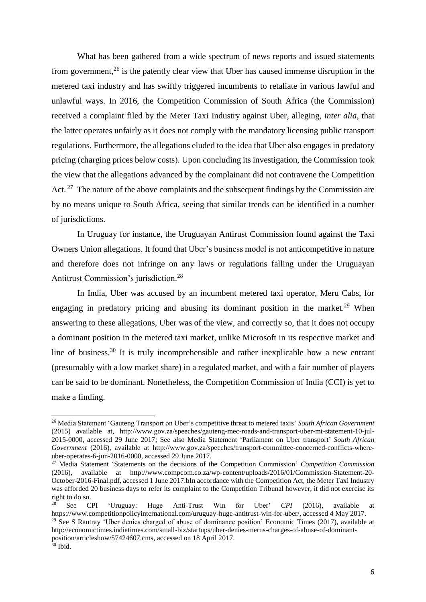What has been gathered from a wide spectrum of news reports and issued statements from government,<sup>26</sup> is the patently clear view that Uber has caused immense disruption in the metered taxi industry and has swiftly triggered incumbents to retaliate in various lawful and unlawful ways. In 2016, the Competition Commission of South Africa (the Commission) received a complaint filed by the Meter Taxi Industry against Uber, alleging, *inter alia*, that the latter operates unfairly as it does not comply with the mandatory licensing public transport regulations. Furthermore, the allegations eluded to the idea that Uber also engages in predatory pricing (charging prices below costs). Upon concluding its investigation, the Commission took the view that the allegations advanced by the complainant did not contravene the Competition Act.  $27$  The nature of the above complaints and the subsequent findings by the Commission are by no means unique to South Africa, seeing that similar trends can be identified in a number of jurisdictions.

In Uruguay for instance, the Uruguayan Antirust Commission found against the Taxi Owners Union allegations. It found that Uber's business model is not anticompetitive in nature and therefore does not infringe on any laws or regulations falling under the Uruguayan Antitrust Commission's jurisdiction.<sup>28</sup>

In India, Uber was accused by an incumbent metered taxi operator, Meru Cabs, for engaging in predatory pricing and abusing its dominant position in the market.<sup>29</sup> When answering to these allegations, Uber was of the view, and correctly so, that it does not occupy a dominant position in the metered taxi market, unlike Microsoft in its respective market and line of business.<sup>30</sup> It is truly incomprehensible and rather inexplicable how a new entrant (presumably with a low market share) in a regulated market, and with a fair number of players can be said to be dominant. Nonetheless, the Competition Commission of India (CCI) is yet to make a finding.

<sup>26</sup> Media Statement 'Gauteng Transport on Uber's competitive threat to metered taxis' *South African Government* (2015) available at, [http://www.gov.za/speeches/gauteng-mec-roads-and-transport-uber-mt-statement-10-jul-](http://www.gov.za/speeches/gauteng-mec-roads-and-transport-uber-mt-statement-10-jul-2015-0000)[2015-0000,](http://www.gov.za/speeches/gauteng-mec-roads-and-transport-uber-mt-statement-10-jul-2015-0000) accessed 29 June 2017; See also Media Statement 'Parliament on Uber transport' *South African Government* (2016), available at [http://www.gov.za/speeches/transport-committee-concerned-conflicts-where](http://www.gov.za/speeches/transport-committee-concerned-conflicts-where-uber-operates-6-jun-2016-0000)[uber-operates-6-jun-2016-0000,](http://www.gov.za/speeches/transport-committee-concerned-conflicts-where-uber-operates-6-jun-2016-0000) accessed 29 June 2017.

<sup>27</sup> Media Statement 'Statements on the decisions of the Competition Commission' *Competition Commission* (2016), available at [http://www.compcom.co.za/wp-content/uploads/2016/01/Commission-Statement-20-](http://www.compcom.co.za/wp-content/uploads/2016/01/Commission-Statement-20-October-2016-Final.pdf) [October-2016-Final.pdf,](http://www.compcom.co.za/wp-content/uploads/2016/01/Commission-Statement-20-October-2016-Final.pdf) accessed 1 June 2017.bIn accordance with the Competition Act, the Meter Taxi Industry was afforded 20 business days to refer its complaint to the Competition Tribunal however, it did not exercise its right to do so.

<sup>28</sup> See CPI 'Uruguay: Huge Anti-Trust Win for Uber' *CPI* (2016), available at [https://www.competitionpolicyinternational.com/uruguay-huge-antitrust-win-for-uber/,](https://www.competitionpolicyinternational.com/uruguay-huge-antitrust-win-for-uber/) accessed 4 May 2017. <sup>29</sup> See S Rautray 'Uber denies charged of abuse of dominance position' Economic Times (2017), available at [http://economictimes.indiatimes.com/small-biz/startups/uber-denies-merus-charges-of-abuse-of-dominant-](http://economictimes.indiatimes.com/small-biz/startups/uber-denies-merus-charges-of-abuse-of-dominant-position/articleshow/57424607.cms)

[position/articleshow/57424607.cms,](http://economictimes.indiatimes.com/small-biz/startups/uber-denies-merus-charges-of-abuse-of-dominant-position/articleshow/57424607.cms) accessed on 18 April 2017.

 $30$  Ibid.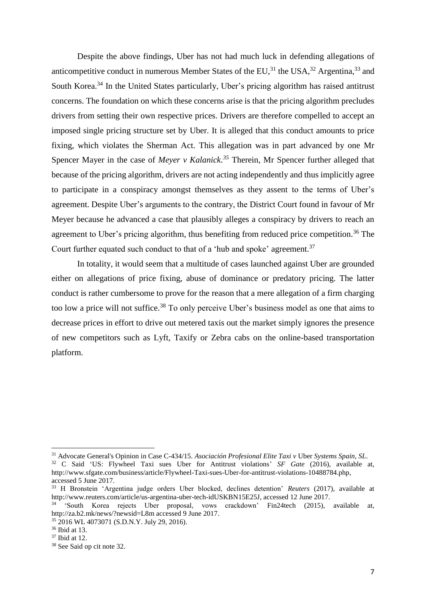Despite the above findings, Uber has not had much luck in defending allegations of anticompetitive conduct in numerous Member States of the EU,<sup>31</sup> the USA,<sup>32</sup> Argentina,<sup>33</sup> and South Korea.<sup>34</sup> In the United States particularly, Uber's pricing algorithm has raised antitrust concerns. The foundation on which these concerns arise is that the pricing algorithm precludes drivers from setting their own respective prices. Drivers are therefore compelled to accept an imposed single pricing structure set by Uber. It is alleged that this conduct amounts to price fixing, which violates the Sherman Act. This allegation was in part advanced by one Mr Spencer Mayer in the case of *Meyer v Kalanick*.<sup>35</sup> Therein, Mr Spencer further alleged that because of the pricing algorithm, drivers are not acting independently and thus implicitly agree to participate in a conspiracy amongst themselves as they assent to the terms of Uber's agreement. Despite Uber's arguments to the contrary, the District Court found in favour of Mr Meyer because he advanced a case that plausibly alleges a conspiracy by drivers to reach an agreement to Uber's pricing algorithm, thus benefiting from reduced price competition.<sup>36</sup> The Court further equated such conduct to that of a 'hub and spoke' agreement.<sup>37</sup>

In totality, it would seem that a multitude of cases launched against Uber are grounded either on allegations of price fixing, abuse of dominance or predatory pricing. The latter conduct is rather cumbersome to prove for the reason that a mere allegation of a firm charging too low a price will not suffice.<sup>38</sup> To only perceive Uber's business model as one that aims to decrease prices in effort to drive out metered taxis out the market simply ignores the presence of new competitors such as Lyft, Taxify or Zebra cabs on the online-based transportation platform.

<sup>31</sup> Advocate General's Opinion in Case C-434/15. *Asociación Profesional Elite Taxi v* Uber *Systems Spain, SL*.

<sup>32</sup> C Said 'US: Flywheel Taxi sues Uber for Antitrust violations' *SF Gate* (2016), available at, [http://www.sfgate.com/business/article/Flywheel-Taxi-sues-Uber-for-antitrust-violations-10488784.php,](http://www.sfgate.com/business/article/Flywheel-Taxi-sues-Uber-for-antitrust-violations-10488784.php) accessed 5 June 2017.

<sup>33</sup> H Bronstein 'Argentina judge orders Uber blocked, declines detention' *Reuters* (2017), available at [http://www.reuters.com/article/us-argentina-uber-tech-idUSKBN15E25J,](http://www.reuters.com/article/us-argentina-uber-tech-idUSKBN15E25J) accessed 12 June 2017.

<sup>&</sup>lt;sup>34</sup> 'South Korea rejects Uber proposal, vows crackdown' Fin24tech (2015), available at, <http://za.b2.mk/news/?newsid=L8m> accessed 9 June 2017.

<sup>35</sup> 2016 WL 4073071 (S.D.N.Y. July 29, 2016). <sup>36</sup> Ibid at 13.

<sup>37</sup> Ibid at 12.

<sup>38</sup> See Said op cit note 32.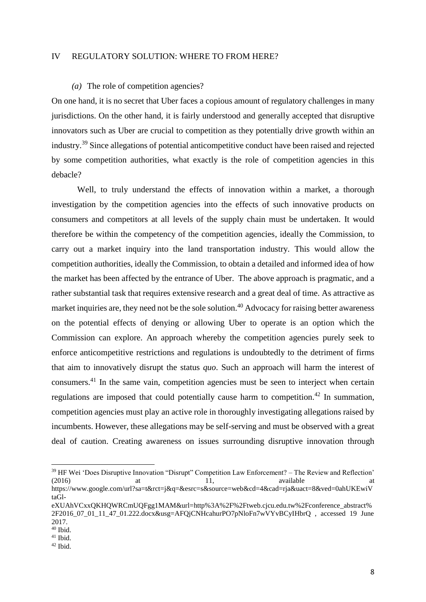#### IV REGULATORY SOLUTION: WHERE TO FROM HERE?

#### *(a)* The role of competition agencies?

On one hand, it is no secret that Uber faces a copious amount of regulatory challenges in many jurisdictions. On the other hand, it is fairly understood and generally accepted that disruptive innovators such as Uber are crucial to competition as they potentially drive growth within an industry.<sup>39</sup> Since allegations of potential anticompetitive conduct have been raised and rejected by some competition authorities, what exactly is the role of competition agencies in this debacle?

Well, to truly understand the effects of innovation within a market, a thorough investigation by the competition agencies into the effects of such innovative products on consumers and competitors at all levels of the supply chain must be undertaken. It would therefore be within the competency of the competition agencies, ideally the Commission, to carry out a market inquiry into the land transportation industry. This would allow the competition authorities, ideally the Commission, to obtain a detailed and informed idea of how the market has been affected by the entrance of Uber. The above approach is pragmatic, and a rather substantial task that requires extensive research and a great deal of time. As attractive as market inquiries are, they need not be the sole solution.<sup>40</sup> Advocacy for raising better awareness on the potential effects of denying or allowing Uber to operate is an option which the Commission can explore. An approach whereby the competition agencies purely seek to enforce anticompetitive restrictions and regulations is undoubtedly to the detriment of firms that aim to innovatively disrupt the status *quo*. Such an approach will harm the interest of consumers.<sup>41</sup> In the same vain, competition agencies must be seen to interject when certain regulations are imposed that could potentially cause harm to competition.<sup>42</sup> In summation, competition agencies must play an active role in thoroughly investigating allegations raised by incumbents. However, these allegations may be self-serving and must be observed with a great deal of caution. Creating awareness on issues surrounding disruptive innovation through

<sup>&</sup>lt;sup>39</sup> HF Wei 'Does Disruptive Innovation "Disrupt" Competition Law Enforcement? – The Review and Reflection'  $(2016)$  at 11, available at 11, available at  $(2016)$ https://www.google.com/url?sa=t&rct=j&q=&esrc=s&source=web&cd=4&cad=rja&uact=8&ved=0ahUKEwiV taGl-

eXUAhVCxxQKHQWRCmUQFgg1MAM&url=http%3A%2F%2Ftweb.cjcu.edu.tw%2Fconference\_abstract%  $2F2016$  07 01 11 47 01.222.docx&usg=AFQjCNHcahurPO7pNloFn7wVYvBCyIHbrQ , accessed 19 June 2017.

<sup>40</sup> Ibid.

 $41$  Ibid.

 $42$  Ibid.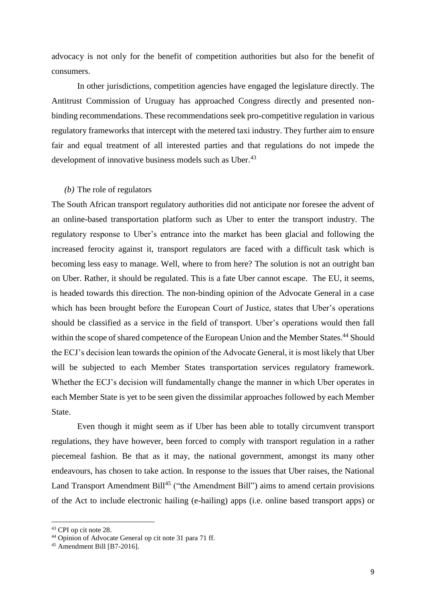advocacy is not only for the benefit of competition authorities but also for the benefit of consumers.

In other jurisdictions, competition agencies have engaged the legislature directly. The Antitrust Commission of Uruguay has approached Congress directly and presented nonbinding recommendations. These recommendations seek pro-competitive regulation in various regulatory frameworks that intercept with the metered taxi industry. They further aim to ensure fair and equal treatment of all interested parties and that regulations do not impede the development of innovative business models such as Uber.<sup>43</sup>

## *(b)* The role of regulators

The South African transport regulatory authorities did not anticipate nor foresee the advent of an online-based transportation platform such as Uber to enter the transport industry. The regulatory response to Uber's entrance into the market has been glacial and following the increased ferocity against it, transport regulators are faced with a difficult task which is becoming less easy to manage. Well, where to from here? The solution is not an outright ban on Uber. Rather, it should be regulated. This is a fate Uber cannot escape. The EU, it seems, is headed towards this direction. The non-binding opinion of the Advocate General in a case which has been brought before the European Court of Justice, states that Uber's operations should be classified as a service in the field of transport. Uber's operations would then fall within the scope of shared competence of the European Union and the Member States.<sup>44</sup> Should the ECJ's decision lean towards the opinion of the Advocate General, it is most likely that Uber will be subjected to each Member States transportation services regulatory framework. Whether the ECJ's decision will fundamentally change the manner in which Uber operates in each Member State is yet to be seen given the dissimilar approaches followed by each Member State.

Even though it might seem as if Uber has been able to totally circumvent transport regulations, they have however, been forced to comply with transport regulation in a rather piecemeal fashion. Be that as it may, the national government, amongst its many other endeavours, has chosen to take action. In response to the issues that Uber raises, the National Land Transport Amendment Bill<sup>45</sup> ("the Amendment Bill") aims to amend certain provisions of the Act to include electronic hailing (e-hailing) apps (i.e. online based transport apps) or

<sup>43</sup> CPI op cit note 28.

<sup>44</sup> Opinion of Advocate General op cit note 31 para 71 ff.

 $45$  Amendment Bill [B7-2016].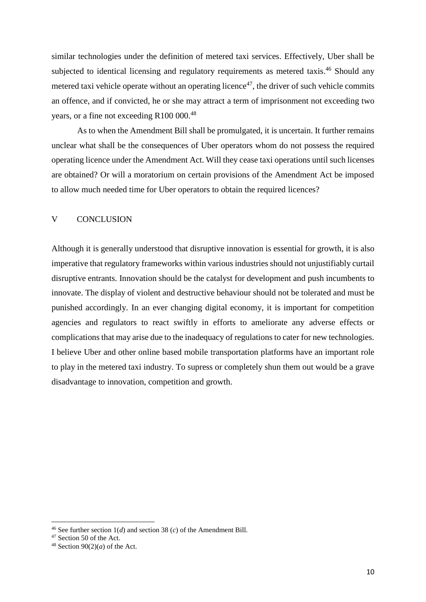similar technologies under the definition of metered taxi services. Effectively, Uber shall be subjected to identical licensing and regulatory requirements as metered taxis.<sup>46</sup> Should any metered taxi vehicle operate without an operating licence<sup>47</sup>, the driver of such vehicle commits an offence, and if convicted, he or she may attract a term of imprisonment not exceeding two years, or a fine not exceeding R100 000.<sup>48</sup>

As to when the Amendment Bill shall be promulgated, it is uncertain. It further remains unclear what shall be the consequences of Uber operators whom do not possess the required operating licence under the Amendment Act. Will they cease taxi operations until such licenses are obtained? Or will a moratorium on certain provisions of the Amendment Act be imposed to allow much needed time for Uber operators to obtain the required licences?

## V CONCLUSION

Although it is generally understood that disruptive innovation is essential for growth, it is also imperative that regulatory frameworks within various industries should not unjustifiably curtail disruptive entrants. Innovation should be the catalyst for development and push incumbents to innovate. The display of violent and destructive behaviour should not be tolerated and must be punished accordingly. In an ever changing digital economy, it is important for competition agencies and regulators to react swiftly in efforts to ameliorate any adverse effects or complications that may arise due to the inadequacy of regulations to cater for new technologies. I believe Uber and other online based mobile transportation platforms have an important role to play in the metered taxi industry. To supress or completely shun them out would be a grave disadvantage to innovation, competition and growth.

<sup>&</sup>lt;sup>46</sup> See further section  $1(d)$  and section 38  $(c)$  of the Amendment Bill.

<sup>47</sup> Section 50 of the Act.

<sup>&</sup>lt;sup>48</sup> Section  $90(2)(a)$  of the Act.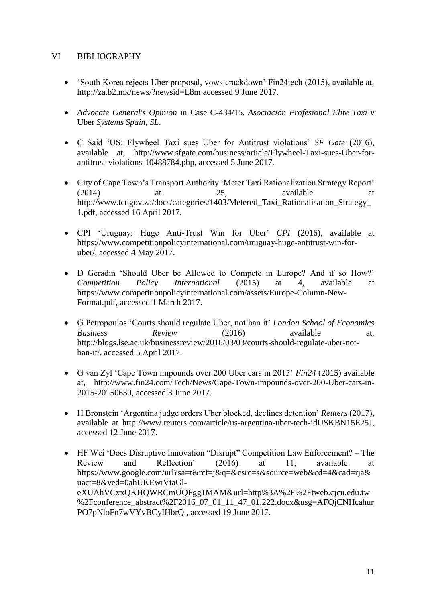## VI BIBLIOGRAPHY

- 'South Korea rejects Uber proposal, vows crackdown' Fin24tech (2015), available at, <http://za.b2.mk/news/?newsid=L8m> accessed 9 June 2017.
- *Advocate General's Opinion* in Case C-434/15. *Asociación Profesional Elite Taxi v*  Uber *Systems Spain, SL*.
- C Said 'US: Flywheel Taxi sues Uber for Antitrust violations' *SF Gate* (2016), available at, [http://www.sfgate.com/business/article/Flywheel-Taxi-sues-Uber-for](http://www.sfgate.com/business/article/Flywheel-Taxi-sues-Uber-for-antitrust-violations-10488784.php)[antitrust-violations-10488784.php,](http://www.sfgate.com/business/article/Flywheel-Taxi-sues-Uber-for-antitrust-violations-10488784.php) accessed 5 June 2017.
- City of Cape Town's Transport Authority 'Meter Taxi Rationalization Strategy Report' (2014) at 25, available at [http://www.tct.gov.za/docs/categories/1403/Metered\\_Taxi\\_Rationalisation\\_Strategy\\_](http://www.tct.gov.za/docs/categories/1403/Metered_Taxi_Rationalisation_Strategy_1.pdf) [1.pdf,](http://www.tct.gov.za/docs/categories/1403/Metered_Taxi_Rationalisation_Strategy_1.pdf) accessed 16 April 2017.
- CPI 'Uruguay: Huge Anti-Trust Win for Uber' *CPI* (2016), available at [https://www.competitionpolicyinternational.com/uruguay-huge-antitrust-win-for](https://www.competitionpolicyinternational.com/uruguay-huge-antitrust-win-for-uber/)[uber/,](https://www.competitionpolicyinternational.com/uruguay-huge-antitrust-win-for-uber/) accessed 4 May 2017.
- D Geradin 'Should Uber be Allowed to Compete in Europe? And if so How?' *Competition Policy International* (2015) at 4, available at [https://www.competitionpolicyinternational.com/assets/Europe-Column-New-](https://www.competitionpolicyinternational.com/assets/Europe-Column-New-Format.pdf)[Format.pdf,](https://www.competitionpolicyinternational.com/assets/Europe-Column-New-Format.pdf) accessed 1 March 2017.
- G Petropoulos 'Courts should regulate Uber, not ban it' *London School of Economics Business Review* (2016) available at, [http://blogs.lse.ac.uk/businessreview/2016/03/03/courts-should-regulate-uber-not](http://blogs.lse.ac.uk/businessreview/2016/03/03/courts-should-regulate-uber-not-ban-it/)[ban-it/,](http://blogs.lse.ac.uk/businessreview/2016/03/03/courts-should-regulate-uber-not-ban-it/) accessed 5 April 2017.
- G van Zyl 'Cape Town impounds over 200 Uber cars in 2015' *Fin24* (2015) available at, [http://www.fin24.com/Tech/News/Cape-Town-impounds-over-200-Uber-cars-in-](http://www.fin24.com/Tech/News/Cape-Town-impounds-over-200-Uber-cars-in-2015-20150630)[2015-20150630,](http://www.fin24.com/Tech/News/Cape-Town-impounds-over-200-Uber-cars-in-2015-20150630) accessed 3 June 2017.
- H Bronstein 'Argentina judge orders Uber blocked, declines detention' *Reuters* (2017), available at [http://www.reuters.com/article/us-argentina-uber-tech-idUSKBN15E25J,](http://www.reuters.com/article/us-argentina-uber-tech-idUSKBN15E25J) accessed 12 June 2017.
- HF Wei 'Does Disruptive Innovation "Disrupt" Competition Law Enforcement? The Review and Reflection' (2016) at 11, available at https://www.google.com/url?sa=t&rct=j&q=&esrc=s&source=web&cd=4&cad=rja& uact=8&ved=0ahUKEwiVtaGleXUAhVCxxQKHQWRCmUQFgg1MAM&url=http%3A%2F%2Ftweb.cjcu.edu.tw %2Fconference\_abstract%2F2016\_07\_01\_11\_47\_01.222.docx&usg=AFQjCNHcahur PO7pNloFn7wVYvBCyIHbrQ , accessed 19 June 2017.